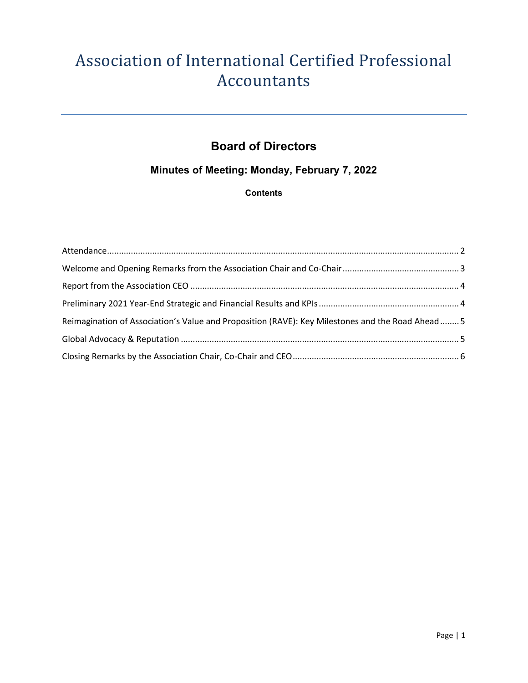# Association of International Certified Professional Accountants

## **Board of Directors**

### **Minutes of Meeting: Monday, February 7, 2022**

#### **Contents**

| Reimagination of Association's Value and Proposition (RAVE): Key Milestones and the Road Ahead 5 |  |
|--------------------------------------------------------------------------------------------------|--|
|                                                                                                  |  |
|                                                                                                  |  |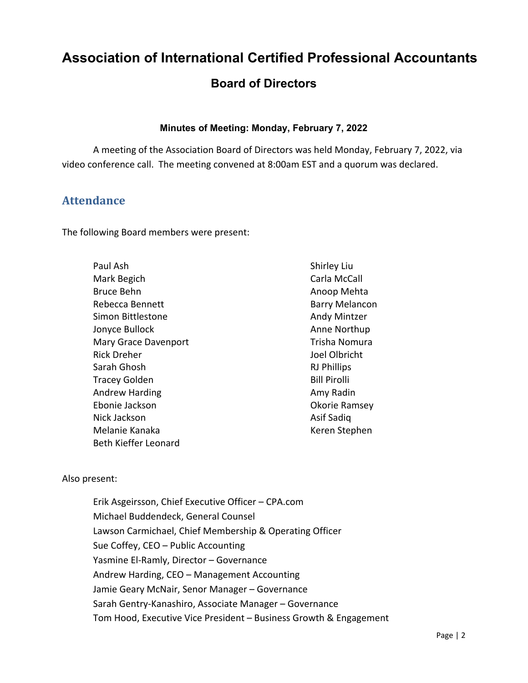## **Association of International Certified Professional Accountants**

## **Board of Directors**

#### **Minutes of Meeting: Monday, February 7, 2022**

A meeting of the Association Board of Directors was held Monday, February 7, 2022, via video conference call. The meeting convened at 8:00am EST and a quorum was declared.

#### <span id="page-1-0"></span>**Attendance**

The following Board members were present:

| Paul Ash              |
|-----------------------|
| Mark Begich           |
| Bruce Behn            |
| Rebecca Bennett       |
| Simon Bittlestone     |
| Jonyce Bullock        |
| Mary Grace Davenport  |
| Rick Dreher           |
| Sarah Ghosh           |
| Tracey Golden         |
| <b>Andrew Harding</b> |
| Ebonie Jackson        |
| Nick Jackson          |
| Melanie Kanaka        |
| Beth Kieffer Leonard  |

Shirley Liu Carla McCall Anoop Mehta Barry Melancon Andy Mintzer Anne Northup Trisha Nomura Joel Olbricht RJ Phillips Bill Pirolli Amy Radin Okorie Ramsey Asif Sadiq Keren Stephen

#### Also present:

Erik Asgeirsson, Chief Executive Officer – CPA.com Michael Buddendeck, General Counsel Lawson Carmichael, Chief Membership & Operating Officer Sue Coffey, CEO – Public Accounting Yasmine El-Ramly, Director – Governance Andrew Harding, CEO – Management Accounting Jamie Geary McNair, Senor Manager – Governance Sarah Gentry-Kanashiro, Associate Manager – Governance Tom Hood, Executive Vice President – Business Growth & Engagement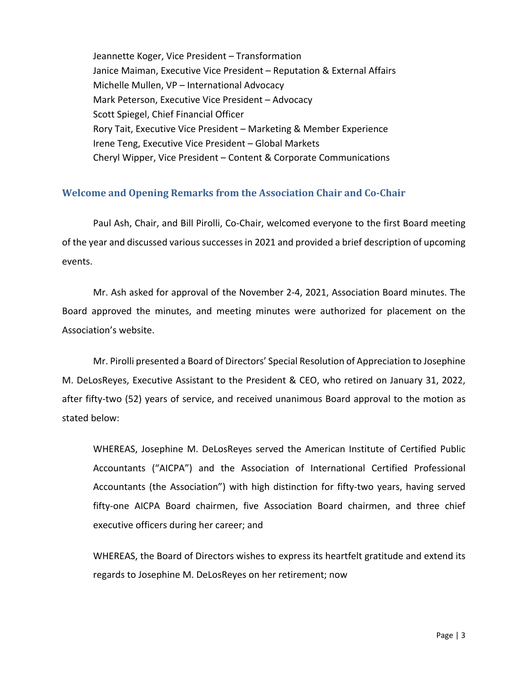Jeannette Koger, Vice President – Transformation Janice Maiman, Executive Vice President – Reputation & External Affairs Michelle Mullen, VP – International Advocacy Mark Peterson, Executive Vice President – Advocacy Scott Spiegel, Chief Financial Officer Rory Tait, Executive Vice President – Marketing & Member Experience Irene Teng, Executive Vice President – Global Markets Cheryl Wipper, Vice President – Content & Corporate Communications

#### <span id="page-2-0"></span>**Welcome and Opening Remarks from the Association Chair and Co-Chair**

Paul Ash, Chair, and Bill Pirolli, Co-Chair, welcomed everyone to the first Board meeting of the year and discussed various successes in 2021 and provided a brief description of upcoming events.

Mr. Ash asked for approval of the November 2-4, 2021, Association Board minutes. The Board approved the minutes, and meeting minutes were authorized for placement on the Association's website.

Mr. Pirolli presented a Board of Directors' Special Resolution of Appreciation to Josephine M. DeLosReyes, Executive Assistant to the President & CEO, who retired on January 31, 2022, after fifty-two (52) years of service, and received unanimous Board approval to the motion as stated below:

WHEREAS, Josephine M. DeLosReyes served the American Institute of Certified Public Accountants ("AICPA") and the Association of International Certified Professional Accountants (the Association") with high distinction for fifty-two years, having served fifty-one AICPA Board chairmen, five Association Board chairmen, and three chief executive officers during her career; and

WHEREAS, the Board of Directors wishes to express its heartfelt gratitude and extend its regards to Josephine M. DeLosReyes on her retirement; now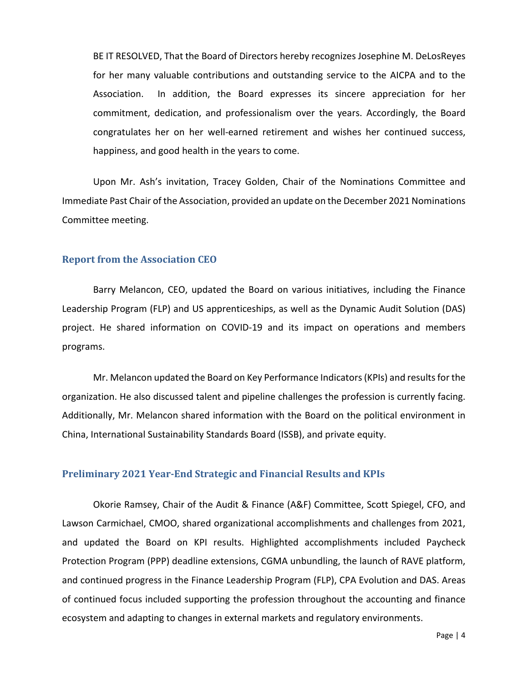BE IT RESOLVED, That the Board of Directors hereby recognizes Josephine M. DeLosReyes for her many valuable contributions and outstanding service to the AICPA and to the Association. In addition, the Board expresses its sincere appreciation for her commitment, dedication, and professionalism over the years. Accordingly, the Board congratulates her on her well-earned retirement and wishes her continued success, happiness, and good health in the years to come.

Upon Mr. Ash's invitation, Tracey Golden, Chair of the Nominations Committee and Immediate Past Chair of the Association, provided an update on the December 2021 Nominations Committee meeting.

#### <span id="page-3-0"></span>**Report from the Association CEO**

Barry Melancon, CEO, updated the Board on various initiatives, including the Finance Leadership Program (FLP) and US apprenticeships, as well as the Dynamic Audit Solution (DAS) project. He shared information on COVID-19 and its impact on operations and members programs.

Mr. Melancon updated the Board on Key Performance Indicators (KPIs) and results for the organization. He also discussed talent and pipeline challenges the profession is currently facing. Additionally, Mr. Melancon shared information with the Board on the political environment in China, International Sustainability Standards Board (ISSB), and private equity.

#### <span id="page-3-1"></span>**Preliminary 2021 Year-End Strategic and Financial Results and KPIs**

Okorie Ramsey, Chair of the Audit & Finance (A&F) Committee, Scott Spiegel, CFO, and Lawson Carmichael, CMOO, shared organizational accomplishments and challenges from 2021, and updated the Board on KPI results. Highlighted accomplishments included Paycheck Protection Program (PPP) deadline extensions, CGMA unbundling, the launch of RAVE platform, and continued progress in the Finance Leadership Program (FLP), CPA Evolution and DAS. Areas of continued focus included supporting the profession throughout the accounting and finance ecosystem and adapting to changes in external markets and regulatory environments.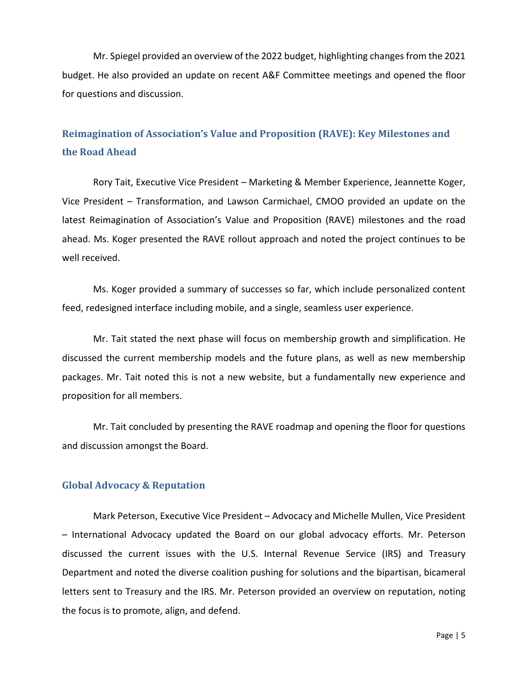Mr. Spiegel provided an overview of the 2022 budget, highlighting changes from the 2021 budget. He also provided an update on recent A&F Committee meetings and opened the floor for questions and discussion.

## <span id="page-4-0"></span>**Reimagination of Association's Value and Proposition (RAVE): Key Milestones and the Road Ahead**

Rory Tait, Executive Vice President – Marketing & Member Experience, Jeannette Koger, Vice President – Transformation, and Lawson Carmichael, CMOO provided an update on the latest Reimagination of Association's Value and Proposition (RAVE) milestones and the road ahead. Ms. Koger presented the RAVE rollout approach and noted the project continues to be well received.

Ms. Koger provided a summary of successes so far, which include personalized content feed, redesigned interface including mobile, and a single, seamless user experience.

Mr. Tait stated the next phase will focus on membership growth and simplification. He discussed the current membership models and the future plans, as well as new membership packages. Mr. Tait noted this is not a new website, but a fundamentally new experience and proposition for all members.

Mr. Tait concluded by presenting the RAVE roadmap and opening the floor for questions and discussion amongst the Board.

#### <span id="page-4-1"></span>**Global Advocacy & Reputation**

Mark Peterson, Executive Vice President – Advocacy and Michelle Mullen, Vice President – International Advocacy updated the Board on our global advocacy efforts. Mr. Peterson discussed the current issues with the U.S. Internal Revenue Service (IRS) and Treasury Department and noted the diverse coalition pushing for solutions and the bipartisan, bicameral letters sent to Treasury and the IRS. Mr. Peterson provided an overview on reputation, noting the focus is to promote, align, and defend.